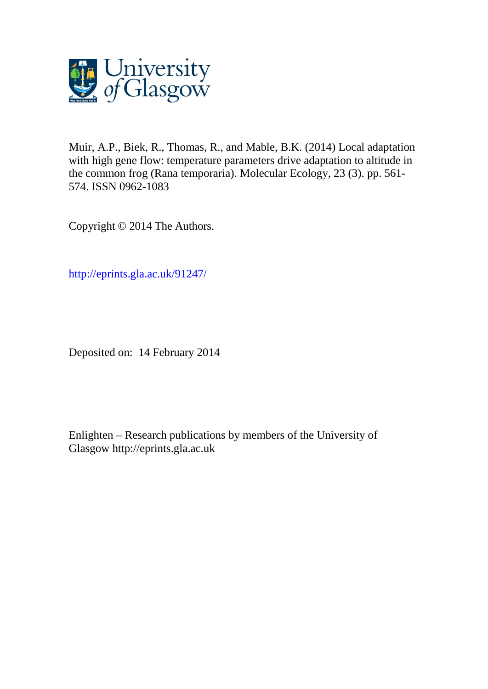

Muir, A.P., Biek, R., Thomas, R., and Mable, B.K. (2014) Local adaptation with high gene flow: temperature parameters drive adaptation to altitude in the common frog (Rana temporaria). Molecular Ecology, 23 (3). pp. 561- 574. ISSN 0962-1083

Copyright © 2014 The Authors.

[http://eprints.gla.ac.uk/91247/](http://eprints.gla.ac.uk/91244/)

Deposited on: 14 February 2014

Enlighten – Research publications by members of the University of Glasgow [http://eprints.gla.ac.uk](http://eprints.gla.ac.uk/)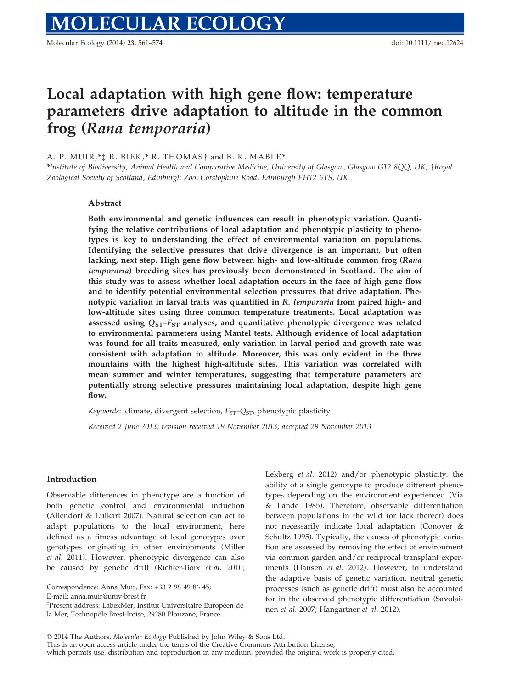# Local adaptation with high gene flow: temperature parameters drive adaptation to altitude in the common frog (Rana temporaria)

## A. P. MUIR,\*‡ R. BIEK,\* R. THOMAS† and B. K. MABLE \*

\*Institute of Biodiversity, Animal Health and Comparative Medicine, University of Glasgow, Glasgow G12 8QQ, UK, †Royal Zoological Society of Scotland, Edinburgh Zoo, Corstophine Road, Edinburgh EH12 6TS, UK

## Abstract

Both environmental and genetic influences can result in phenotypic variation. Quantifying the relative contributions of local adaptation and phenotypic plasticity to phenotypes is key to understanding the effect of environmental variation on populations. Identifying the selective pressures that drive divergence is an important, but often lacking, next step. High gene flow between high- and low-altitude common frog (Rana temporaria) breeding sites has previously been demonstrated in Scotland. The aim of this study was to assess whether local adaptation occurs in the face of high gene flow and to identify potential environmental selection pressures that drive adaptation. Phenotypic variation in larval traits was quantified in R. temporaria from paired high- and low-altitude sites using three common temperature treatments. Local adaptation was assessed using  $Q_{ST}$ - $F_{ST}$  analyses, and quantitative phenotypic divergence was related to environmental parameters using Mantel tests. Although evidence of local adaptation was found for all traits measured, only variation in larval period and growth rate was consistent with adaptation to altitude. Moreover, this was only evident in the three mountains with the highest high-altitude sites. This variation was correlated with mean summer and winter temperatures, suggesting that temperature parameters are potentially strong selective pressures maintaining local adaptation, despite high gene flow.

Keywords: climate, divergent selection,  $F_{ST}$ – $Q_{ST}$ , phenotypic plasticity

Received 2 June 2013; revision received 19 November 2013; accepted 29 November 2013

### Introduction

Observable differences in phenotype are a function of both genetic control and environmental induction (Allendorf & Luikart 2007). Natural selection can act to adapt populations to the local environment, here defined as a fitness advantage of local genotypes over genotypes originating in other environments (Miller et al. 2011). However, phenotypic divergence can also be caused by genetic drift (Richter-Boix et al. 2010;

E-mail: anna.muir@univ-brest.fr

<sup>‡</sup>Present address: LabexMer, Institut Universitaire Européen de la Mer, Technopôle Brest-Iroise, 29280 Plouzané, France

Lekberg et al. 2012) and/or phenotypic plasticity: the ability of a single genotype to produce different phenotypes depending on the environment experienced (Via & Lande 1985). Therefore, observable differentiation between populations in the wild (or lack thereof) does not necessarily indicate local adaptation (Conover & Schultz 1995). Typically, the causes of phenotypic variation are assessed by removing the effect of environment via common garden and/or reciprocal transplant experiments (Hansen et al. 2012). However, to understand the adaptive basis of genetic variation, neutral genetic processes (such as genetic drift) must also be accounted for in the observed phenotypic differentiation (Savolainen et al. 2007; Hangartner et al. 2012).

This is an open access article under the terms of the Creative Commons Attribution License, which permits use, distribution and reproduction in any medium, provided the original work is properly cited.

Correspondence: Anna Muir, Fax: +33 2 98 49 86 45;

<sup>©</sup> 2014 The Authors. Molecular Ecology Published by John Wiley & Sons Ltd.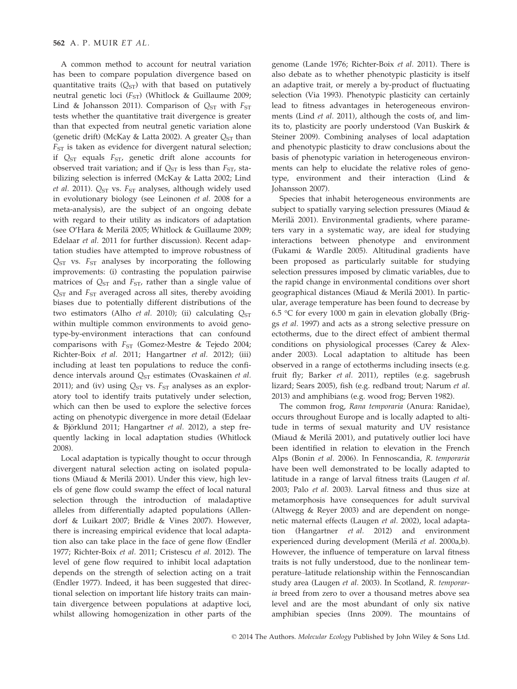A common method to account for neutral variation has been to compare population divergence based on quantitative traits  $(Q_{ST})$  with that based on putatively neutral genetic loci ( $F_{ST}$ ) (Whitlock & Guillaume 2009; Lind & Johansson 2011). Comparison of  $Q_{ST}$  with  $F_{ST}$ tests whether the quantitative trait divergence is greater than that expected from neutral genetic variation alone (genetic drift) (McKay & Latta 2002). A greater  $Q_{ST}$  than  $F_{ST}$  is taken as evidence for divergent natural selection; if  $Q_{ST}$  equals  $F_{ST}$ , genetic drift alone accounts for observed trait variation; and if  $Q_{ST}$  is less than  $F_{ST}$ , stabilizing selection is inferred (McKay & Latta 2002; Lind et al. 2011).  $Q_{ST}$  vs.  $F_{ST}$  analyses, although widely used in evolutionary biology (see Leinonen et al. 2008 for a meta-analysis), are the subject of an ongoing debate with regard to their utility as indicators of adaptation (see O'Hara & Merilä 2005; Whitlock & Guillaume 2009; Edelaar et al. 2011 for further discussion). Recent adaptation studies have attempted to improve robustness of  $Q_{ST}$  vs.  $F_{ST}$  analyses by incorporating the following improvements: (i) contrasting the population pairwise matrices of  $Q_{ST}$  and  $F_{ST}$ , rather than a single value of  $Q<sub>ST</sub>$  and  $F<sub>ST</sub>$  averaged across all sites, thereby avoiding biases due to potentially different distributions of the two estimators (Alho et al. 2010); (ii) calculating  $Q_{ST}$ within multiple common environments to avoid genotype-by-environment interactions that can confound comparisons with  $F_{ST}$  (Gomez-Mestre & Tejedo 2004; Richter-Boix et al. 2011; Hangartner et al. 2012); (iii) including at least ten populations to reduce the confidence intervals around  $Q_{ST}$  estimates (Ovaskainen et al. 2011); and (iv) using  $Q_{ST}$  vs.  $F_{ST}$  analyses as an exploratory tool to identify traits putatively under selection, which can then be used to explore the selective forces acting on phenotypic divergence in more detail (Edelaar & Björklund 2011; Hangartner et al. 2012), a step frequently lacking in local adaptation studies (Whitlock 2008).

Local adaptation is typically thought to occur through divergent natural selection acting on isolated populations (Miaud & Merilä 2001). Under this view, high levels of gene flow could swamp the effect of local natural selection through the introduction of maladaptive alleles from differentially adapted populations (Allendorf & Luikart 2007; Bridle & Vines 2007). However, there is increasing empirical evidence that local adaptation also can take place in the face of gene flow (Endler 1977; Richter-Boix et al. 2011; Cristescu et al. 2012). The level of gene flow required to inhibit local adaptation depends on the strength of selection acting on a trait (Endler 1977). Indeed, it has been suggested that directional selection on important life history traits can maintain divergence between populations at adaptive loci, whilst allowing homogenization in other parts of the

genome (Lande 1976; Richter-Boix et al. 2011). There is also debate as to whether phenotypic plasticity is itself an adaptive trait, or merely a by-product of fluctuating selection (Via 1993). Phenotypic plasticity can certainly lead to fitness advantages in heterogeneous environments (Lind et al. 2011), although the costs of, and limits to, plasticity are poorly understood (Van Buskirk & Steiner 2009). Combining analyses of local adaptation and phenotypic plasticity to draw conclusions about the basis of phenotypic variation in heterogeneous environments can help to elucidate the relative roles of genotype, environment and their interaction (Lind & Johansson 2007).

Species that inhabit heterogeneous environments are subject to spatially varying selection pressures (Miaud & Merilä 2001). Environmental gradients, where parameters vary in a systematic way, are ideal for studying interactions between phenotype and environment (Fukami & Wardle 2005). Altitudinal gradients have been proposed as particularly suitable for studying selection pressures imposed by climatic variables, due to the rapid change in environmental conditions over short geographical distances (Miaud & Merilä 2001). In particular, average temperature has been found to decrease by 6.5 °C for every 1000 m gain in elevation globally (Briggs et al. 1997) and acts as a strong selective pressure on ectotherms, due to the direct effect of ambient thermal conditions on physiological processes (Carey & Alexander 2003). Local adaptation to altitude has been observed in a range of ectotherms including insects (e.g. fruit fly; Barker et al. 2011), reptiles (e.g. sagebrush lizard; Sears 2005), fish (e.g. redband trout; Narum et al. 2013) and amphibians (e.g. wood frog; Berven 1982).

The common frog, Rana temporaria (Anura: Ranidae), occurs throughout Europe and is locally adapted to altitude in terms of sexual maturity and UV resistance (Miaud & Merilä 2001), and putatively outlier loci have been identified in relation to elevation in the French Alps (Bonin et al. 2006). In Fennoscandia, R. temporaria have been well demonstrated to be locally adapted to latitude in a range of larval fitness traits (Laugen et al. 2003; Palo et al. 2003). Larval fitness and thus size at metamorphosis have consequences for adult survival (Altwegg & Reyer 2003) and are dependent on nongenetic maternal effects (Laugen et al. 2002), local adaptation (Hangartner et al. 2012) and environment experienced during development (Merilä et al. 2000a,b). However, the influence of temperature on larval fitness traits is not fully understood, due to the nonlinear temperature–latitude relationship within the Fennoscandian study area (Laugen et al. 2003). In Scotland, R. temporaria breed from zero to over a thousand metres above sea level and are the most abundant of only six native amphibian species (Inns 2009). The mountains of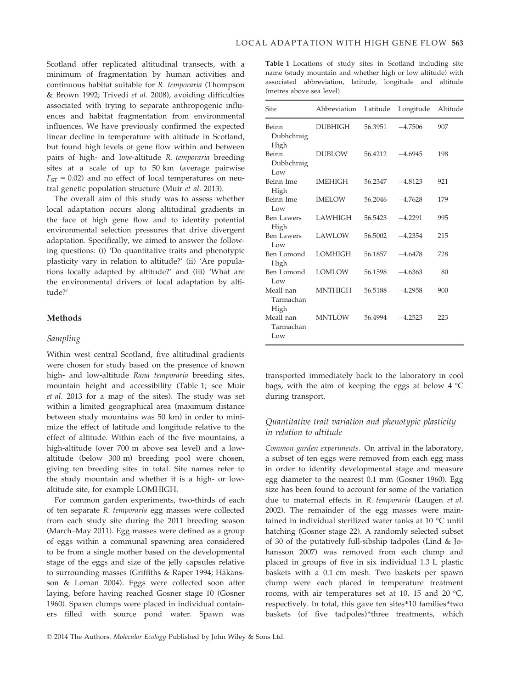Scotland offer replicated altitudinal transects, with a minimum of fragmentation by human activities and continuous habitat suitable for R. temporaria (Thompson & Brown 1992; Trivedi et al. 2008), avoiding difficulties associated with trying to separate anthropogenic influences and habitat fragmentation from environmental influences. We have previously confirmed the expected linear decline in temperature with altitude in Scotland, but found high levels of gene flow within and between pairs of high- and low-altitude R. temporaria breeding sites at a scale of up to 50 km (average pairwise  $F_{ST}$  = 0.02) and no effect of local temperatures on neutral genetic population structure (Muir et al. 2013).

The overall aim of this study was to assess whether local adaptation occurs along altitudinal gradients in the face of high gene flow and to identify potential environmental selection pressures that drive divergent adaptation. Specifically, we aimed to answer the following questions: (i) 'Do quantitative traits and phenotypic plasticity vary in relation to altitude?' (ii) 'Are populations locally adapted by altitude?' and (iii) 'What are the environmental drivers of local adaptation by altitude?'

## Methods

## Sampling

Within west central Scotland, five altitudinal gradients were chosen for study based on the presence of known high- and low-altitude Rana temporaria breeding sites, mountain height and accessibility (Table 1; see Muir et al. 2013 for a map of the sites). The study was set within a limited geographical area (maximum distance between study mountains was 50 km) in order to minimize the effect of latitude and longitude relative to the effect of altitude. Within each of the five mountains, a high-altitude (over 700 m above sea level) and a lowaltitude (below 300 m) breeding pool were chosen, giving ten breeding sites in total. Site names refer to the study mountain and whether it is a high- or lowaltitude site, for example LOMHIGH.

For common garden experiments, two-thirds of each of ten separate R. temporaria egg masses were collected from each study site during the 2011 breeding season (March–May 2011). Egg masses were defined as a group of eggs within a communal spawning area considered to be from a single mother based on the developmental stage of the eggs and size of the jelly capsules relative to surrounding masses (Griffiths & Raper 1994; Hakansson & Loman 2004). Eggs were collected soon after laying, before having reached Gosner stage 10 (Gosner 1960). Spawn clumps were placed in individual containers filled with source pond water. Spawn was

| <b>Table 1</b> Locations of study sites in Scotland including site |  |  |
|--------------------------------------------------------------------|--|--|
| name (study mountain and whether high or low altitude) with        |  |  |
| associated abbreviation, latitude, longitude and altitude          |  |  |
| (metres above sea level)                                           |  |  |

| Site                           | Abbreviation   | Latitude | Longitude | Altitude |
|--------------------------------|----------------|----------|-----------|----------|
| Beinn<br>Dubhchraig<br>High    | <b>DUBHIGH</b> | 56.3951  | $-4.7506$ | 907      |
| Beinn<br>Dubhchraig<br>Low     | <b>DUBLOW</b>  | 56.4212  | $-4.6945$ | 198      |
| Beinn Ime<br>High              | <b>IMEHIGH</b> | 56.2347  | $-4.8123$ | 921      |
| Beinn Ime<br>Low               | <b>IMELOW</b>  | 56.2046  | $-4.7628$ | 179      |
| <b>Ben Lawers</b><br>High      | <b>LAWHIGH</b> | 56.5423  | $-4.2291$ | 995      |
| Ben Lawers<br>Low              | <b>LAWLOW</b>  | 56.5002  | $-4.2354$ | 215      |
| Ben Lomond<br>High             | <b>LOMHIGH</b> | 56.1857  | $-4.6478$ | 728      |
| Ben Lomond<br>Low              | LOMLOW         | 56.1598  | $-4.6363$ | 80       |
| Meall nan<br>Tarmachan<br>High | <b>MNTHIGH</b> | 56.5188  | $-4.2958$ | 900      |
| Meall nan<br>Tarmachan<br>Low  | <b>MNTLOW</b>  | 56.4994  | $-4.2523$ | 223      |

transported immediately back to the laboratory in cool bags, with the aim of keeping the eggs at below 4 °C during transport.

## Quantitative trait variation and phenotypic plasticity in relation to altitude

Common garden experiments. On arrival in the laboratory, a subset of ten eggs were removed from each egg mass in order to identify developmental stage and measure egg diameter to the nearest 0.1 mm (Gosner 1960). Egg size has been found to account for some of the variation due to maternal effects in R. temporaria (Laugen et al. 2002). The remainder of the egg masses were maintained in individual sterilized water tanks at 10 °C until hatching (Gosner stage 22). A randomly selected subset of 30 of the putatively full-sibship tadpoles (Lind & Johansson 2007) was removed from each clump and placed in groups of five in six individual 1.3 L plastic baskets with a 0.1 cm mesh. Two baskets per spawn clump were each placed in temperature treatment rooms, with air temperatures set at 10, 15 and 20 °C, respectively. In total, this gave ten sites\*10 families\*two baskets (of five tadpoles)\*three treatments, which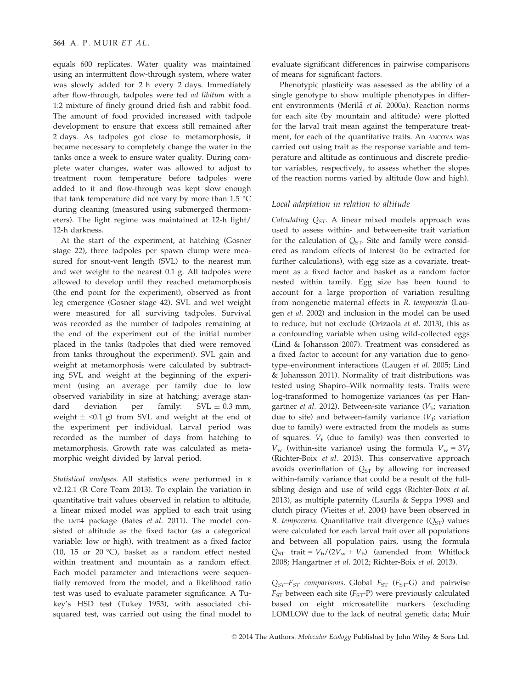equals 600 replicates. Water quality was maintained using an intermittent flow-through system, where water was slowly added for 2 h every 2 days. Immediately after flow-through, tadpoles were fed ad libitum with a 1:2 mixture of finely ground dried fish and rabbit food. The amount of food provided increased with tadpole development to ensure that excess still remained after 2 days. As tadpoles got close to metamorphosis, it became necessary to completely change the water in the tanks once a week to ensure water quality. During complete water changes, water was allowed to adjust to treatment room temperature before tadpoles were added to it and flow-through was kept slow enough that tank temperature did not vary by more than 1.5 °C during cleaning (measured using submerged thermometers). The light regime was maintained at 12-h light/ 12-h darkness.

At the start of the experiment, at hatching (Gosner stage 22), three tadpoles per spawn clump were measured for snout-vent length (SVL) to the nearest mm and wet weight to the nearest 0.1 g. All tadpoles were allowed to develop until they reached metamorphosis (the end point for the experiment), observed as front leg emergence (Gosner stage 42). SVL and wet weight were measured for all surviving tadpoles. Survival was recorded as the number of tadpoles remaining at the end of the experiment out of the initial number placed in the tanks (tadpoles that died were removed from tanks throughout the experiment). SVL gain and weight at metamorphosis were calculated by subtracting SVL and weight at the beginning of the experiment (using an average per family due to low observed variability in size at hatching; average standard deviation per family:  $SVL \pm 0.3$  mm, weight  $\pm$  <0.1 g) from SVL and weight at the end of the experiment per individual. Larval period was recorded as the number of days from hatching to metamorphosis. Growth rate was calculated as metamorphic weight divided by larval period.

Statistical analyses. All statistics were performed in <sup>R</sup> v2.12.1 (R Core Team 2013). To explain the variation in quantitative trait values observed in relation to altitude, a linear mixed model was applied to each trait using the LME4 package (Bates et al. 2011). The model consisted of altitude as the fixed factor (as a categorical variable: low or high), with treatment as a fixed factor (10, 15 or 20 °C), basket as a random effect nested within treatment and mountain as a random effect. Each model parameter and interactions were sequentially removed from the model, and a likelihood ratio test was used to evaluate parameter significance. A Tukey's HSD test (Tukey 1953), with associated chisquared test, was carried out using the final model to evaluate significant differences in pairwise comparisons of means for significant factors.

Phenotypic plasticity was assessed as the ability of a single genotype to show multiple phenotypes in different environments (Merilä et al. 2000a). Reaction norms for each site (by mountain and altitude) were plotted for the larval trait mean against the temperature treatment, for each of the quantitative traits. An ANCOVA was carried out using trait as the response variable and temperature and altitude as continuous and discrete predictor variables, respectively, to assess whether the slopes of the reaction norms varied by altitude (low and high).

### Local adaptation in relation to altitude

Calculating  $Q_{ST}$ . A linear mixed models approach was used to assess within- and between-site trait variation for the calculation of  $Q_{ST}$ . Site and family were considered as random effects of interest (to be extracted for further calculations), with egg size as a covariate, treatment as a fixed factor and basket as a random factor nested within family. Egg size has been found to account for a large proportion of variation resulting from nongenetic maternal effects in R. temporaria (Laugen et al. 2002) and inclusion in the model can be used to reduce, but not exclude (Orizaola et al. 2013), this as a confounding variable when using wild-collected eggs (Lind & Johansson 2007). Treatment was considered as a fixed factor to account for any variation due to genotype–environment interactions (Laugen et al. 2005; Lind & Johansson 2011). Normality of trait distributions was tested using Shapiro–Wilk normality tests. Traits were log-transformed to homogenize variances (as per Hangartner *et al.* 2012). Between-site variance  $(V_b)$ ; variation due to site) and between-family variance  $(V_f$ ; variation due to family) were extracted from the models as sums of squares.  $V_f$  (due to family) was then converted to  $V_w$  (within-site variance) using the formula  $V_w = 3V_f$ (Richter-Boix et al. 2013). This conservative approach avoids overinflation of  $Q_{ST}$  by allowing for increased within-family variance that could be a result of the fullsibling design and use of wild eggs (Richter-Boix et al. 2013), as multiple paternity (Laurila & Seppa 1998) and clutch piracy (Vieites et al. 2004) have been observed in R. temporaria. Quantitative trait divergence  $(Q_{ST})$  values were calculated for each larval trait over all populations and between all population pairs, using the formula  $Q_{ST}$  trait =  $V_b/(2V_w + V_b)$  (amended from Whitlock 2008; Hangartner et al. 2012; Richter-Boix et al. 2013).

 $Q_{ST}$ – $F_{ST}$  comparisons. Global  $F_{ST}$  ( $F_{ST}$ –G) and pairwise  $F_{ST}$  between each site ( $F_{ST}$ -P) were previously calculated based on eight microsatellite markers (excluding LOMLOW due to the lack of neutral genetic data; Muir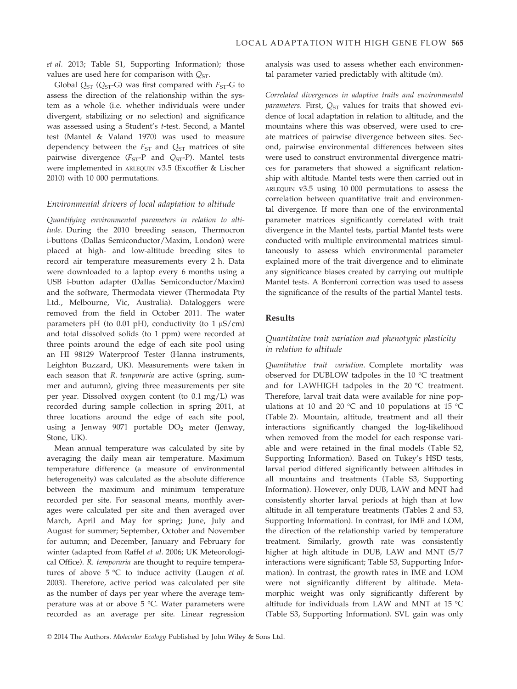et al. 2013; Table S1, Supporting Information); those values are used here for comparison with  $Q_{ST}$ .

Global  $Q_{ST}$  ( $Q_{ST}$ -G) was first compared with  $F_{ST}$ -G to assess the direction of the relationship within the system as a whole (i.e. whether individuals were under divergent, stabilizing or no selection) and significance was assessed using a Student's t-test. Second, a Mantel test (Mantel & Valand 1970) was used to measure dependency between the  $F_{ST}$  and  $Q_{ST}$  matrices of site pairwise divergence  $(F_{ST}-P)$  and  $Q_{ST}-P$ ). Mantel tests were implemented in ARLEQUIN v3.5 (Excoffier & Lischer 2010) with 10 000 permutations.

## Environmental drivers of local adaptation to altitude

Quantifying environmental parameters in relation to altitude. During the 2010 breeding season, Thermocron i-buttons (Dallas Semiconductor/Maxim, London) were placed at high- and low-altitude breeding sites to record air temperature measurements every 2 h. Data were downloaded to a laptop every 6 months using a USB i-button adapter (Dallas Semiconductor/Maxim) and the software, Thermodata viewer (Thermodata Pty Ltd., Melbourne, Vic, Australia). Dataloggers were removed from the field in October 2011. The water parameters pH (to 0.01 pH), conductivity (to 1  $\mu$ S/cm) and total dissolved solids (to 1 ppm) were recorded at three points around the edge of each site pool using an HI 98129 Waterproof Tester (Hanna instruments, Leighton Buzzard, UK). Measurements were taken in each season that R. temporaria are active (spring, summer and autumn), giving three measurements per site per year. Dissolved oxygen content (to 0.1 mg/L) was recorded during sample collection in spring 2011, at three locations around the edge of each site pool, using a Jenway 9071 portable  $DO<sub>2</sub>$  meter (Jenway, Stone, UK).

Mean annual temperature was calculated by site by averaging the daily mean air temperature. Maximum temperature difference (a measure of environmental heterogeneity) was calculated as the absolute difference between the maximum and minimum temperature recorded per site. For seasonal means, monthly averages were calculated per site and then averaged over March, April and May for spring; June, July and August for summer; September, October and November for autumn; and December, January and February for winter (adapted from Raffel et al. 2006; UK Meteorological Office). R. temporaria are thought to require temperatures of above  $5^{\circ}$ C to induce activity (Laugen *et al.* 2003). Therefore, active period was calculated per site as the number of days per year where the average temperature was at or above 5 °C. Water parameters were recorded as an average per site. Linear regression

analysis was used to assess whether each environmental parameter varied predictably with altitude (m).

Correlated divergences in adaptive traits and environmental *parameters.* First,  $O_{ST}$  values for traits that showed evidence of local adaptation in relation to altitude, and the mountains where this was observed, were used to create matrices of pairwise divergence between sites. Second, pairwise environmental differences between sites were used to construct environmental divergence matrices for parameters that showed a significant relationship with altitude. Mantel tests were then carried out in ARLEQUIN v3.5 using 10 000 permutations to assess the correlation between quantitative trait and environmental divergence. If more than one of the environmental parameter matrices significantly correlated with trait divergence in the Mantel tests, partial Mantel tests were conducted with multiple environmental matrices simultaneously to assess which environmental parameter explained more of the trait divergence and to eliminate any significance biases created by carrying out multiple Mantel tests. A Bonferroni correction was used to assess the significance of the results of the partial Mantel tests.

# Results

## Quantitative trait variation and phenotypic plasticity in relation to altitude

Quantitative trait variation. Complete mortality was observed for DUBLOW tadpoles in the 10 °C treatment and for LAWHIGH tadpoles in the 20 °C treatment. Therefore, larval trait data were available for nine populations at 10 and 20 °C and 10 populations at 15 °C (Table 2). Mountain, altitude, treatment and all their interactions significantly changed the log-likelihood when removed from the model for each response variable and were retained in the final models (Table S2, Supporting Information). Based on Tukey's HSD tests, larval period differed significantly between altitudes in all mountains and treatments (Table S3, Supporting Information). However, only DUB, LAW and MNT had consistently shorter larval periods at high than at low altitude in all temperature treatments (Tables 2 and S3, Supporting Information). In contrast, for IME and LOM, the direction of the relationship varied by temperature treatment. Similarly, growth rate was consistently higher at high altitude in DUB, LAW and MNT (5/7 interactions were significant; Table S3, Supporting Information). In contrast, the growth rates in IME and LOM were not significantly different by altitude. Metamorphic weight was only significantly different by altitude for individuals from LAW and MNT at 15 °C (Table S3, Supporting Information). SVL gain was only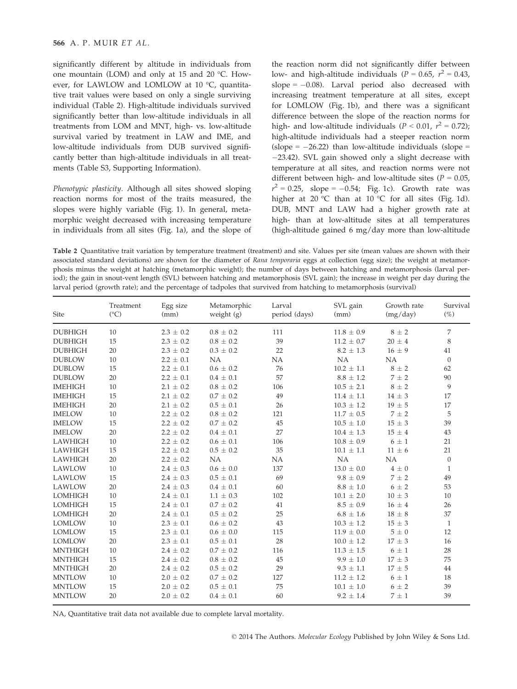significantly different by altitude in individuals from one mountain (LOM) and only at 15 and 20 °C. However, for LAWLOW and LOMLOW at 10 °C, quantitative trait values were based on only a single surviving individual (Table 2). High-altitude individuals survived significantly better than low-altitude individuals in all treatments from LOM and MNT, high- vs. low-altitude survival varied by treatment in LAW and IME, and low-altitude individuals from DUB survived significantly better than high-altitude individuals in all treatments (Table S3, Supporting Information).

Phenotypic plasticity. Although all sites showed sloping reaction norms for most of the traits measured, the slopes were highly variable (Fig. 1). In general, metamorphic weight decreased with increasing temperature in individuals from all sites (Fig. 1a), and the slope of

the reaction norm did not significantly differ between low- and high-altitude individuals ( $P = 0.65$ ,  $r^2 = 0.43$ , slope  $= -0.08$ ). Larval period also decreased with increasing treatment temperature at all sites, except for LOMLOW (Fig. 1b), and there was a significant difference between the slope of the reaction norms for high- and low-altitude individuals ( $P < 0.01$ ,  $r^2 = 0.72$ ); high-altitude individuals had a steeper reaction norm (slope =  $-26.22$ ) than low-altitude individuals (slope = 23.42). SVL gain showed only a slight decrease with temperature at all sites, and reaction norms were not different between high- and low-altitude sites ( $P = 0.05$ ,  $r^2 = 0.25$ , slope = -0.54; Fig. 1c). Growth rate was higher at 20 °C than at 10 °C for all sites (Fig. 1d). DUB, MNT and LAW had a higher growth rate at high- than at low-altitude sites at all temperatures (high-altitude gained 6 mg/day more than low-altitude

Table 2 Quantitative trait variation by temperature treatment (treatment) and site. Values per site (mean values are shown with their associated standard deviations) are shown for the diameter of Rana temporaria eggs at collection (egg size); the weight at metamorphosis minus the weight at hatching (metamorphic weight); the number of days between hatching and metamorphosis (larval period); the gain in snout-vent length (SVL) between hatching and metamorphosis (SVL gain); the increase in weight per day during the larval period (growth rate); and the percentage of tadpoles that survived from hatching to metamorphosis (survival)

| <b>Site</b>    | Treatment<br>$({}^{\circ}C)$ | Egg size<br>(mm) | Metamorphic<br>weight $(g)$ | Larval<br>period (days) | SVL gain<br>(mm) | Growth rate<br>(mg/day) | Survival<br>(%)  |
|----------------|------------------------------|------------------|-----------------------------|-------------------------|------------------|-------------------------|------------------|
| <b>DUBHIGH</b> | 10                           | $2.3 \pm 0.2$    | $0.8 \pm 0.2$               | 111                     | $11.8 \pm 0.9$   | $8 \pm 2$               | 7                |
| <b>DUBHIGH</b> | 15                           | $2.3 \pm 0.2$    | $0.8 \pm 0.2$               | 39                      | $11.2 \pm 0.7$   | $20 \pm 4$              | 8                |
| <b>DUBHIGH</b> | 20                           | $2.3 \pm 0.2$    | $0.3 \pm 0.2$               | 22                      | $8.2 \pm 1.3$    | $16 \pm 9$              | 41               |
| <b>DUBLOW</b>  | 10                           | $2.2 \pm 0.1$    | NA                          | NA                      | <b>NA</b>        | NA                      | $\boldsymbol{0}$ |
| <b>DUBLOW</b>  | 15                           | $2.2 \pm 0.1$    | $0.6 \pm 0.2$               | 76                      | $10.2 \pm 1.1$   | $8 \pm 2$               | 62               |
| <b>DUBLOW</b>  | 20                           | $2.2 \pm 0.1$    | $0.4 \pm 0.1$               | 57                      | $8.8 \pm 1.2$    | $7 \pm 2$               | 90               |
| <b>IMEHIGH</b> | 10                           | $2.1 \pm 0.2$    | $0.8 \pm 0.2$               | 106                     | $10.5 \pm 2.1$   | $8 \pm 2$               | 9                |
| <b>IMEHIGH</b> | 15                           | $2.1 \pm 0.2$    | $0.7 \pm 0.2$               | 49                      | $11.4 \pm 1.1$   | $14 \pm 3$              | 17               |
| <b>IMEHIGH</b> | 20                           | $2.1 \pm 0.2$    | $0.5 \pm 0.1$               | 26                      | $10.3 \pm 1.2$   | $19 \pm 5$              | 17               |
| <b>IMELOW</b>  | 10                           | $2.2 \pm 0.2$    | $0.8 \pm 0.2$               | 121                     | $11.7 \pm 0.5$   | $7 \pm 2$               | 5                |
| <b>IMELOW</b>  | 15                           | $2.2 \pm 0.2$    | $0.7 \pm 0.2$               | 45                      | $10.5 \pm 1.0$   | $15 \pm 3$              | 39               |
| <b>IMELOW</b>  | 20                           | $2.2 \pm 0.2$    | $0.4 \pm 0.1$               | 27                      | $10.4 \pm 1.3$   | $15 \pm 4$              | 43               |
| <b>LAWHIGH</b> | 10                           | $2.2 \pm 0.2$    | $0.6 \pm 0.1$               | 106                     | $10.8 \pm 0.9$   | $6 \pm 1$               | 21               |
| <b>LAWHIGH</b> | 15                           | $2.2 \pm 0.2$    | $0.5 \pm 0.2$               | 35                      | $10.1 \pm 1.1$   | $11 \pm 6$              | 21               |
| LAWHIGH        | 20                           | $2.2 \pm 0.2$    | NA                          | NA                      | NA               | <b>NA</b>               | $\mathbf{0}$     |
| LAWLOW         | 10                           | $2.4 \pm 0.3$    | $0.6 \pm 0.0$               | 137                     | $13.0 \pm 0.0$   | $4\pm0$                 | 1                |
| LAWLOW         | 15                           | $2.4 \pm 0.3$    | $0.5 \pm 0.1$               | 69                      | $9.8 \pm 0.9$    | $7\,\pm\,2$             | 49               |
| LAWLOW         | 20                           | $2.4 \pm 0.3$    | $0.4 \pm 0.1$               | 60                      | $8.8 \pm 1.0$    | $6\pm2$                 | 53               |
| <b>LOMHIGH</b> | 10                           | $2.4 \pm 0.1$    | $1.1 \pm 0.3$               | 102                     | $10.1 \pm 2.0$   | $10 \pm 3$              | 10               |
| <b>LOMHIGH</b> | 15                           | $2.4 \pm 0.1$    | $0.7 \pm 0.2$               | 41                      | $8.5 \pm 0.9$    | $16 \pm 4$              | 26               |
| <b>LOMHIGH</b> | 20                           | $2.4 \pm 0.1$    | $0.5 \pm 0.2$               | 25                      | $6.8 \pm 1.6$    | $18 \pm 8$              | 37               |
| <b>LOMLOW</b>  | 10                           | $2.3 \pm 0.1$    | $0.6 \pm 0.2$               | 43                      | $10.3 \pm 1.2$   | $15 \pm 3$              | 1                |
| <b>LOMLOW</b>  | 15                           | $2.3 \pm 0.1$    | $0.6 \pm 0.0$               | 115                     | $11.9 \pm 0.0$   | $5\pm0$                 | 12               |
| <b>LOMLOW</b>  | 20                           | $2.3 \pm 0.1$    | $0.5 \pm 0.1$               | 28                      | $10.0 \pm 1.2$   | $17 \pm 3$              | 16               |
| <b>MNTHIGH</b> | 10                           | $2.4 \pm 0.2$    | $0.7 \pm 0.2$               | 116                     | $11.3 \pm 1.5$   | $6 \pm 1$               | 28               |
| <b>MNTHIGH</b> | 15                           | $2.4 \pm 0.2$    | $0.8 \pm 0.2$               | 45                      | $9.9 \pm 1.0$    | $17 \pm 3$              | 75               |
| <b>MNTHIGH</b> | 20                           | $2.4 \pm 0.2$    | $0.5 \pm 0.2$               | 29                      | $9.3 \pm 1.1$    | $17\,\pm\,5$            | 44               |
| <b>MNTLOW</b>  | 10                           | $2.0 \pm 0.2$    | $0.7 \pm 0.2$               | 127                     | $11.2 \pm 1.2$   | $6 \pm 1$               | 18               |
| <b>MNTLOW</b>  | 15                           | $2.0 \pm 0.2$    | $0.5 \pm 0.1$               | 75                      | $10.1 \pm 1.0$   | $6\pm2$                 | 39               |
| <b>MNTLOW</b>  | 20                           | $2.0 \pm 0.2$    | $0.4 \pm 0.1$               | 60                      | $9.2 \pm 1.4$    | $7 \pm 1$               | 39               |

NA, Quantitative trait data not available due to complete larval mortality.

© 2014 The Authors. Molecular Ecology Published by John Wiley & Sons Ltd.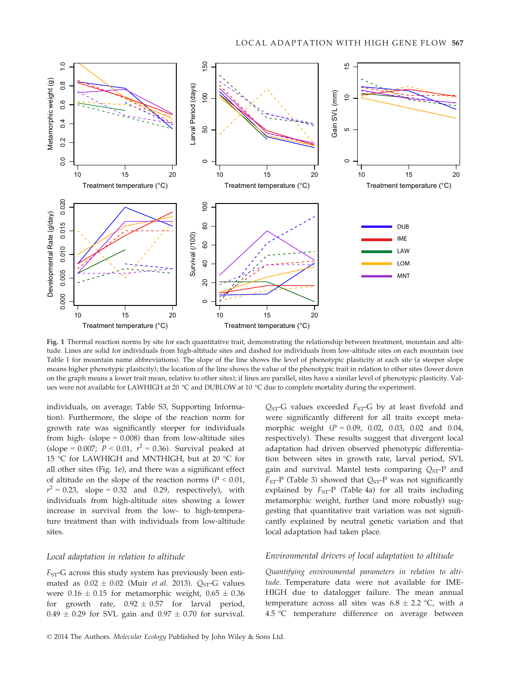

Fig. 1 Thermal reaction norms by site for each quantitative trait, demonstrating the relationship between treatment, mountain and altitude. Lines are solid for individuals from high-altitude sites and dashed for individuals from low-altitude sites on each mountain (see Table 1 for mountain name abbreviations). The slope of the line shows the level of phenotypic plasticity at each site (a steeper slope means higher phenotypic plasticity); the location of the line shows the value of the phenotypic trait in relation to other sites (lower down on the graph means a lower trait mean, relative to other sites); if lines are parallel, sites have a similar level of phenotypic plasticity. Values were not available for LAWHIGH at 20 °C and DUBLOW at 10 °C due to complete mortality during the experiment.

individuals, on average; Table S3, Supporting Information). Furthermore, the slope of the reaction norm for growth rate was significantly steeper for individuals from high- (slope  $= 0.008$ ) than from low-altitude sites (slope = 0.007;  $P < 0.01$ ,  $r^2 = 0.36$ ). Survival peaked at 15 °C for LAWHIGH and MNTHIGH, but at 20 °C for all other sites (Fig. 1e), and there was a significant effect of altitude on the slope of the reaction norms ( $P < 0.01$ ,  $r^2 = 0.23$ , slope = 0.32 and 0.29, respectively), with individuals from high-altitude sites showing a lower increase in survival from the low- to high-temperature treatment than with individuals from low-altitude sites.

## Local adaptation in relation to altitude

 $F<sub>ST</sub>$ -G across this study system has previously been estimated as  $0.02 \pm 0.02$  (Muir *et al.* 2013). Q<sub>ST</sub>-G values were  $0.16 \pm 0.15$  for metamorphic weight,  $0.65 \pm 0.36$ for growth rate,  $0.92 \pm 0.57$  for larval period,  $0.49 \pm 0.29$  for SVL gain and  $0.97 \pm 0.70$  for survival.  $Q<sub>ST</sub>-G$  values exceeded  $F<sub>ST</sub>-G$  by at least fivefold and were significantly different for all traits except metamorphic weight  $(P = 0.09, 0.02, 0.03, 0.02, 0.04,$ respectively). These results suggest that divergent local adaptation had driven observed phenotypic differentiation between sites in growth rate, larval period, SVL gain and survival. Mantel tests comparing  $Q_{ST}$ -P and  $F<sub>ST</sub>-P$  (Table 3) showed that  $Q<sub>ST</sub>-P$  was not significantly explained by  $F_{ST}$ -P (Table 4a) for all traits including metamorphic weight, further (and more robustly) suggesting that quantitative trait variation was not significantly explained by neutral genetic variation and that local adaptation had taken place.

# Environmental drivers of local adaptation to altitude

Quantifying environmental parameters in relation to altitude. Temperature data were not available for IME-HIGH due to datalogger failure. The mean annual temperature across all sites was  $6.8 \pm 2.2$  °C, with a 4.5 °C temperature difference on average between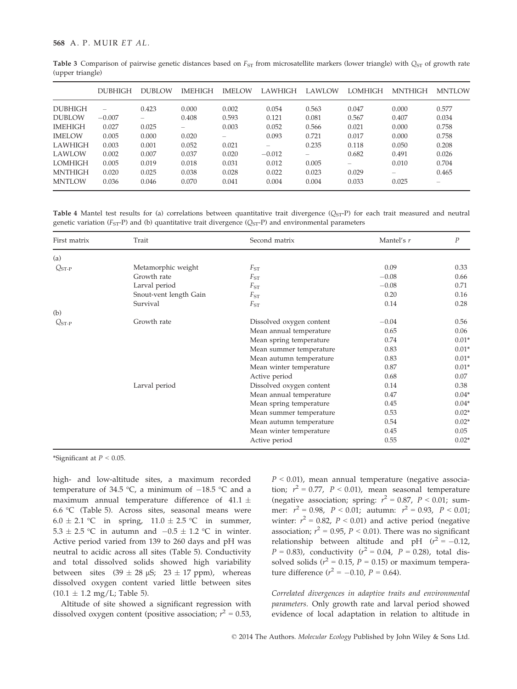|                | <b>DUBHIGH</b>           | DUBLOW                   | <b>IMEHIGH</b>           | <b>IMELOW</b>            | <b>LAWHIGH</b> | LAWLOW | <b>LOMHIGH</b> | <b>MNTHIGH</b> | <b>MNTLOW</b> |
|----------------|--------------------------|--------------------------|--------------------------|--------------------------|----------------|--------|----------------|----------------|---------------|
| <b>DUBHIGH</b> | $\overline{\phantom{a}}$ | 0.423                    | 0.000                    | 0.002                    | 0.054          | 0.563  | 0.047          | 0.000          | 0.577         |
| <b>DUBLOW</b>  | $-0.007$                 | $\overline{\phantom{a}}$ | 0.408                    | 0.593                    | 0.121          | 0.081  | 0.567          | 0.407          | 0.034         |
| <b>IMEHIGH</b> | 0.027                    | 0.025                    | $\overline{\phantom{0}}$ | 0.003                    | 0.052          | 0.566  | 0.021          | 0.000          | 0.758         |
| <b>IMELOW</b>  | 0.005                    | 0.000                    | 0.020                    | $\overline{\phantom{a}}$ | 0.093          | 0.721  | 0.017          | 0.000          | 0.758         |
| <b>LAWHIGH</b> | 0.003                    | 0.001                    | 0.052                    | 0.021                    |                | 0.235  | 0.118          | 0.050          | 0.208         |
| <b>LAWLOW</b>  | 0.002                    | 0.007                    | 0.037                    | 0.020                    | $-0.012$       | -      | 0.682          | 0.491          | 0.026         |
| <b>LOMHIGH</b> | 0.005                    | 0.019                    | 0.018                    | 0.031                    | 0.012          | 0.005  | -              | 0.010          | 0.704         |
| <b>MNTHIGH</b> | 0.020                    | 0.025                    | 0.038                    | 0.028                    | 0.022          | 0.023  | 0.029          |                | 0.465         |
| <b>MNTLOW</b>  | 0.036                    | 0.046                    | 0.070                    | 0.041                    | 0.004          | 0.004  | 0.033          | 0.025          |               |

Table 3 Comparison of pairwise genetic distances based on  $F_{ST}$  from microsatellite markers (lower triangle) with  $Q_{ST}$  of growth rate (upper triangle)

Table 4 Mantel test results for (a) correlations between quantitative trait divergence  $(Q<sub>ST</sub>-P)$  for each trait measured and neutral genetic variation ( $F_{ST}$ -P) and (b) quantitative trait divergence ( $Q_{ST}$ -P) and environmental parameters

| First matrix | Trait                  | Second matrix            | Mantel's r | $\boldsymbol{P}$ |
|--------------|------------------------|--------------------------|------------|------------------|
| (a)          |                        |                          |            |                  |
| $Q_{ST-P}$   | Metamorphic weight     | $F_{ST}$                 | 0.09       | 0.33             |
|              | Growth rate            | $F_{ST}$                 | $-0.08$    | 0.66             |
|              | Larval period          | $F_{ST}$                 | $-0.08$    | 0.71             |
|              | Snout-vent length Gain | $F_{ST}$                 | 0.20       | 0.16             |
|              | Survival               | $F_{ST}$                 | 0.14       | 0.28             |
| (b)          |                        |                          |            |                  |
| $Q_{ST-P}$   | Growth rate            | Dissolved oxygen content | $-0.04$    | 0.56             |
|              |                        | Mean annual temperature  | 0.65       | 0.06             |
|              |                        | Mean spring temperature  | 0.74       | $0.01*$          |
|              |                        | Mean summer temperature  | 0.83       | $0.01*$          |
|              |                        | Mean autumn temperature  | 0.83       | $0.01*$          |
|              |                        | Mean winter temperature  | 0.87       | $0.01*$          |
|              |                        | Active period            | 0.68       | 0.07             |
|              | Larval period          | Dissolved oxygen content | 0.14       | 0.38             |
|              |                        | Mean annual temperature  | 0.47       | $0.04*$          |
|              |                        | Mean spring temperature  | 0.45       | $0.04*$          |
|              |                        | Mean summer temperature  | 0.53       | $0.02*$          |
|              |                        | Mean autumn temperature  | 0.54       | $0.02*$          |
|              |                        | Mean winter temperature  | 0.45       | 0.05             |
|              |                        | Active period            | 0.55       | $0.02*$          |

\*Significant at  $P < 0.05$ .

high- and low-altitude sites, a maximum recorded temperature of 34.5 °C, a minimum of  $-18.5$  °C and a maximum annual temperature difference of 41.1  $\pm$ 6.6 °C (Table 5). Across sites, seasonal means were  $6.0 \pm 2.1$  °C in spring,  $11.0 \pm 2.5$  °C in summer, 5.3  $\pm$  2.5 °C in autumn and  $-0.5 \pm 1.2$  °C in winter. Active period varied from 139 to 260 days and pH was neutral to acidic across all sites (Table 5). Conductivity and total dissolved solids showed high variability between sites  $(39 \pm 28 \text{ }\mu\text{S}; 23 \pm 17 \text{ ppm})$ , whereas dissolved oxygen content varied little between sites  $(10.1 \pm 1.2 \text{ mg/L}$ ; Table 5).

Altitude of site showed a significant regression with dissolved oxygen content (positive association;  $r^2 = 0.53$ ,

 $P < 0.01$ ), mean annual temperature (negative association;  $r^2 = 0.77$ ,  $P < 0.01$ ), mean seasonal temperature (negative association; spring:  $r^2 = 0.87$ ,  $P < 0.01$ ; summer:  $r^2 = 0.98$ ,  $P < 0.01$ ; autumn:  $r^2 = 0.93$ ,  $P < 0.01$ ; winter:  $r^2 = 0.82$ ,  $P < 0.01$ ) and active period (negative association;  $r^2 = 0.95$ ,  $P < 0.01$ ). There was no significant relationship between altitude and pH  $(r^2 = -0.12)$ ,  $P = 0.83$ ), conductivity ( $r^2 = 0.04$ ,  $P = 0.28$ ), total dissolved solids ( $r^2 = 0.15$ ,  $P = 0.15$ ) or maximum temperature difference  $(r^2 = -0.10, P = 0.64)$ .

Correlated divergences in adaptive traits and environmental parameters. Only growth rate and larval period showed evidence of local adaptation in relation to altitude in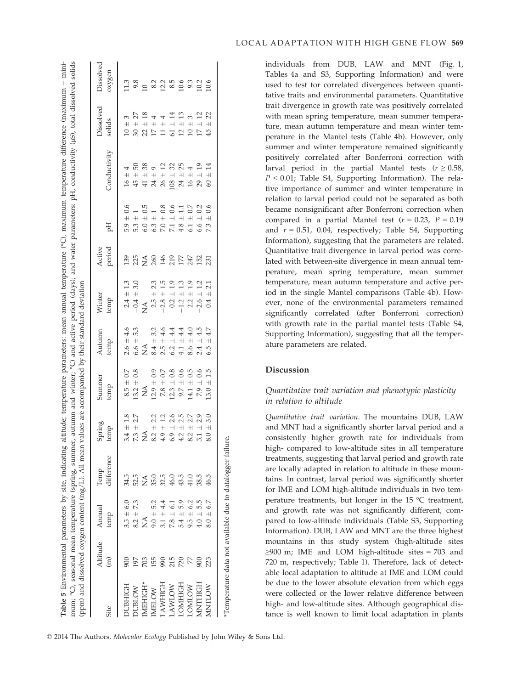minimum; °C), seasonal mean temperature (spring, summer, autumn and winter; °C) and active period (days); and water parameters: pH, conductivity (µS), total dissolved solids mum; °C), seasonal mean temperature (spring, summer, autumn and winter; °C) and active period (days); and water parameters: pH, conductivity (lS), total dissolved solids Environmental parameters by site, indicating altitude; temperature parameters: mean annual temperature (°C), maximum temperature difference (maximum ppm) and dissolved oxygen content (mg/L). All mean values are accompanied by their standard deviation (ppm) and dissolved oxygen content (mg/L). All mean values are accompanied by their standard deviation Table 5

| Site           | Altitude<br>$\widehat{E}$ | Annual<br>temp | difference<br>Temp                                        | Spring<br>temp                | Summer<br>temp                                                                              | Autumn<br>temp                                                                                                                                                                                                                                                                                  | Winter<br>temp                                                  | Active<br>period                                                                                                                                                        | Hq                                                                                                                                                                                                                                                                                                              | Conductivity                                        | Dissolved<br>solids                                                          | Dissolved<br>oxygen                    |
|----------------|---------------------------|----------------|-----------------------------------------------------------|-------------------------------|---------------------------------------------------------------------------------------------|-------------------------------------------------------------------------------------------------------------------------------------------------------------------------------------------------------------------------------------------------------------------------------------------------|-----------------------------------------------------------------|-------------------------------------------------------------------------------------------------------------------------------------------------------------------------|-----------------------------------------------------------------------------------------------------------------------------------------------------------------------------------------------------------------------------------------------------------------------------------------------------------------|-----------------------------------------------------|------------------------------------------------------------------------------|----------------------------------------|
| UBHIGH         |                           | $3.5 \pm 6.0$  | 34.5                                                      | $3.4 \pm 1.8$                 | $8.5\,\pm\,0.7$                                                                             | $2.6 \pm 4.6$                                                                                                                                                                                                                                                                                   | $-2.4 \pm 1.3$<br>$-0.4 \pm 3.0$<br>NA<br>$2.5 \pm 2.3$         | $\frac{1}{2}$ $\frac{1}{2}$ $\frac{1}{2}$ $\frac{1}{2}$ $\frac{1}{2}$ $\frac{1}{2}$ $\frac{1}{2}$ $\frac{1}{2}$ $\frac{1}{2}$ $\frac{1}{2}$ $\frac{1}{2}$ $\frac{1}{2}$ | $\pm$ 0.6<br>5.9                                                                                                                                                                                                                                                                                                | $16\,\pm\,4$                                        | 3<br>$\! \! \! + \! \! \! \! \! \! \! \! +$<br>$\frac{10}{20}$               | 1380 2315 9325 940<br>1982 940 950 951 |
| UBLOW          | 561                       | $8.2 \pm 7.3$  | 52.5                                                      | $7.3 \pm 2.7$                 | $13.2 \pm 0.8$                                                                              | 53<br>$6.6 \pm$                                                                                                                                                                                                                                                                                 |                                                                 |                                                                                                                                                                         | $\frac{5}{6}$ .0                                                                                                                                                                                                                                                                                                | 50<br>$\!$ $\!$ $\!$<br>45                          | $\pm$ $\pm$                                                                  |                                        |
| <b>MEHIGH</b>  | 703                       | ≸              | ₹                                                         |                               | $\stackrel{\triangle}{\simeq}$                                                              | $\frac{1}{84}$                                                                                                                                                                                                                                                                                  |                                                                 |                                                                                                                                                                         | $\begin{array}{c} + & 1 \\ + & 0.5 \end{array}$                                                                                                                                                                                                                                                                 | 38<br>$\!$ $\!$ $\!$<br>$\overline{41}$             | $27$ $\frac{\text{m}}{\text{m}}$ $\frac{\text{m}}{\text{m}}$<br>$\mathbb{Z}$ |                                        |
| MELOW          | 155                       | $9.0 + 5.2$    | 35.0                                                      | 2.2<br>$\frac{NA}{8.2 \pm}$   | $12.9 \pm 0.9$                                                                              |                                                                                                                                                                                                                                                                                                 |                                                                 |                                                                                                                                                                         | $\frac{1}{1}$                                                                                                                                                                                                                                                                                                   | $\begin{array}{c} +9 \\ +12 \end{array}$<br>$\circ$ | $\pm$ $\pm$<br>$1\overline{7}$                                               |                                        |
| AWHIGH         | 990                       | $3.1 + 4.4$    | 32.5                                                      | 1.2<br>$4.9 \pm$              | $\begin{array}{c} 7.8 \, \pm \, 0.7 \\ 12.3 \, \pm \, 0.8 \\ 9.7 \, \pm \, 0.6 \end{array}$ |                                                                                                                                                                                                                                                                                                 | $-2.8 \pm 1.5$<br>0.2 $\pm$ 1.9<br>-1.2 $\pm$ 1.3<br>$-2.8 \pm$ |                                                                                                                                                                         | $0.300$<br>$7.100$<br>$4.80$                                                                                                                                                                                                                                                                                    |                                                     | $\begin{array}{c} 4 \\ + 1 \\ + 1 \\ + 1 \\ \end{array}$<br>$\Box$           |                                        |
| <b>MOTMY</b>   | 215                       | $7.8 \pm 6.1$  | 46.0                                                      | 2.6<br>$6.9 \pm 1$<br>4.2 ± 1 |                                                                                             |                                                                                                                                                                                                                                                                                                 |                                                                 |                                                                                                                                                                         |                                                                                                                                                                                                                                                                                                                 | 32 <sub>5</sub><br>$\pm$ $\pm$                      | 61                                                                           |                                        |
| <b>OMHIGH</b>  | 720                       | $5.4 \pm 5.9$  | 43.5                                                      | 2.5                           |                                                                                             | $\begin{array}{l} 8.4 & 4.4 & 0.5 \\ 8.4 & 4.4 & 4.4 \\ 7.5 & 4.4 & 4.4 \\ 8.5 & 4.4 & 4.4 \\ 9.4 & 1.4 & 1.4 \\ 1.5 & 1.4 & 1.4 \\ 1.5 & 1.4 & 1.4 \\ 1.5 & 1.4 & 1.4 \\ 1.5 & 1.4 & 1.4 \\ 1.5 & 1.4 & 1.4 \\ 1.5 & 1.4 & 1.4 \\ 1.5 & 1.4 & 1.4 \\ 1.5 & 1.4 & 1.4 \\ 1.5 & 1.4 & 1.4 \\ 1.$ |                                                                 |                                                                                                                                                                         |                                                                                                                                                                                                                                                                                                                 | 7897272                                             | $\mathfrak{p}$                                                               |                                        |
| <b>NOTINC</b>  |                           | $9.5 \pm 6.2$  | 41.0                                                      | 2.7<br>$\overline{+}$<br>8.2  | $14.1 \pm 0.5$<br>7.9 ± 0.6<br>14.1                                                         |                                                                                                                                                                                                                                                                                                 | 1.9<br>$2.2 \pm 1$                                              |                                                                                                                                                                         | 6.1                                                                                                                                                                                                                                                                                                             | $\overline{+}$<br>$\overline{+}$                    | $\!$ $\!$ $\!$ $\!$<br>$\overline{10}$                                       |                                        |
| <b>MNTHIGH</b> | 900                       | $4.0 \pm 5.5$  | 38.5                                                      | 2.9<br>$3.1~\pm$              |                                                                                             |                                                                                                                                                                                                                                                                                                 | 1.2<br>$-2.6 \pm$                                               |                                                                                                                                                                         | $\begin{array}{cccc}\n & 0.6 & 0.7 & 0.7 & 0.6 \\  & 0.6 & 0.7 & 0.7 & 0.6 \\  & 0.7 & 0.7 & 0.7 & 0.6 \\  & 0.7 & 0.7 & 0.7 & 0.7 \\  & 0.8 & 0.7 & 0.7 & 0.7 \\  & 0.9 & 0.7 & 0.7 & 0.7 \\  & 0.9 & 0.7 & 0.7 & 0.7 & 0.7 \\  & 0.9 & 0.7 & 0.7 & 0.7 & 0.7 \\  & 0.9 & 0.7 & 0.7 & 0.7 & 0.7 & 0.7 \\  & 0$ | $\begin{array}{c} \pm 19 \\ \pm 14 \end{array}$     | $\frac{3}{12}$<br>$\overline{+}$<br>$\overline{\phantom{0}}$                 |                                        |
| MNTLOW         | 223                       | $8.0 \pm 6.7$  | 46.5                                                      | 3.0<br>$8.0 \pm$              | $13.0 \pm 1.5$                                                                              | $4.7$<br>6.5                                                                                                                                                                                                                                                                                    | 2.1<br>$0.4 \pm$                                                |                                                                                                                                                                         | 73                                                                                                                                                                                                                                                                                                              | $\odot$                                             | 22<br>$\overline{+}$<br>$\frac{15}{2}$                                       |                                        |
|                |                           |                | Temperature data not available due to datalogger failure. |                               |                                                                                             |                                                                                                                                                                                                                                                                                                 |                                                                 |                                                                                                                                                                         |                                                                                                                                                                                                                                                                                                                 |                                                     |                                                                              |                                        |

individuals from DUB, LAW and MNT (Fig. 1, Tables 4a and S3, Supporting Information) and were used to test for correlated divergences between quantitative traits and environmental parameters. Quantitative trait divergence in growth rate was positively correlated with mean spring temperature, mean summer temperature, mean autumn temperature and mean winter temperature in the Mantel tests (Table 4b). However, only summer and winter temperature remained significantly positively correlated after Bonferroni correction with larval period in the partial Mantel tests ( $r \geq 0.58$ ,  $P < 0.01$ ; Table S4, Supporting Information). The relative importance of summer and winter temperature in relation to larval period could not be separated as both became nonsignificant after Bonferroni correction when compared in a partial Mantel test ( $r = 0.23$ ,  $P = 0.19$ and  $r = 0.51$ , 0.04, respectively; Table S4, Supporting Information), suggesting that the parameters are related. Quantitative trait divergence in larval period was correlated with between-site divergence in mean annual temperature, mean spring temperature, mean summer temperature, mean autumn temperature and active period in the single Mantel comparisons (Table 4b). However, none of the environmental parameters remained significantly correlated (after Bonferroni correction) with growth rate in the partial mantel tests (Table S4, Supporting Information), suggesting that all the temperature parameters are related.

# Discussion

# Quantitative trait variation and phenotypic plasticity in relation to altitude

Quantitative trait variation. The mountains DUB, LAW and MNT had a significantly shorter larval period and a consistently higher growth rate for individuals from high- compared to low-altitude sites in all temperature treatments, suggesting that larval period and growth rate are locally adapted in relation to altitude in these mountains. In contrast, larval period was significantly shorter for IME and LOM high-altitude individuals in two temperature treatments, but longer in the 15 °C treatment, and growth rate was not significantly different, compared to low-altitude individuals (Table S3, Supporting Information). DUB, LAW and MNT are the three highest mountains in this study system (high-altitude sites ≥900 m; IME and LOM high-altitude sites = 703 and 720 m, respectively; Table 1). Therefore, lack of detectable local adaptation to altitude at IME and LOM could be due to the lower absolute elevation from which eggs were collected or the lower relative difference between high- and low-altitude sites. Although geographical distance is well known to limit local adaptation in plants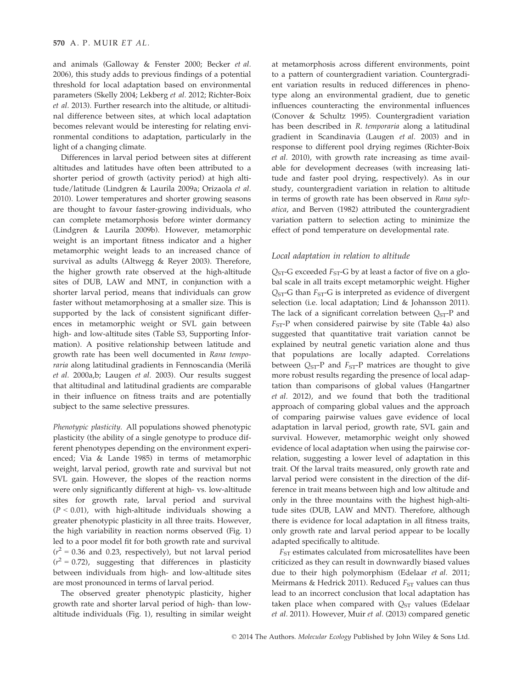and animals (Galloway & Fenster 2000; Becker et al. 2006), this study adds to previous findings of a potential threshold for local adaptation based on environmental parameters (Skelly 2004; Lekberg et al. 2012; Richter-Boix et al. 2013). Further research into the altitude, or altitudinal difference between sites, at which local adaptation becomes relevant would be interesting for relating environmental conditions to adaptation, particularly in the light of a changing climate.

Differences in larval period between sites at different altitudes and latitudes have often been attributed to a shorter period of growth (activity period) at high altitude/latitude (Lindgren & Laurila 2009a; Orizaola et al. 2010). Lower temperatures and shorter growing seasons are thought to favour faster-growing individuals, who can complete metamorphosis before winter dormancy (Lindgren & Laurila 2009b). However, metamorphic weight is an important fitness indicator and a higher metamorphic weight leads to an increased chance of survival as adults (Altwegg & Reyer 2003). Therefore, the higher growth rate observed at the high-altitude sites of DUB, LAW and MNT, in conjunction with a shorter larval period, means that individuals can grow faster without metamorphosing at a smaller size. This is supported by the lack of consistent significant differences in metamorphic weight or SVL gain between high- and low-altitude sites (Table S3, Supporting Information). A positive relationship between latitude and growth rate has been well documented in Rana temporaria along latitudinal gradients in Fennoscandia (Merilä et al. 2000a,b; Laugen et al. 2003). Our results suggest that altitudinal and latitudinal gradients are comparable in their influence on fitness traits and are potentially subject to the same selective pressures.

Phenotypic plasticity. All populations showed phenotypic plasticity (the ability of a single genotype to produce different phenotypes depending on the environment experienced; Via & Lande 1985) in terms of metamorphic weight, larval period, growth rate and survival but not SVL gain. However, the slopes of the reaction norms were only significantly different at high- vs. low-altitude sites for growth rate, larval period and survival  $(P < 0.01)$ , with high-altitude individuals showing a greater phenotypic plasticity in all three traits. However, the high variability in reaction norms observed (Fig. 1) led to a poor model fit for both growth rate and survival  $(r^2 = 0.36$  and 0.23, respectively), but not larval period  $(r^2 = 0.72)$ , suggesting that differences in plasticity between individuals from high- and low-altitude sites are most pronounced in terms of larval period.

The observed greater phenotypic plasticity, higher growth rate and shorter larval period of high- than lowaltitude individuals (Fig. 1), resulting in similar weight

at metamorphosis across different environments, point to a pattern of countergradient variation. Countergradient variation results in reduced differences in phenotype along an environmental gradient, due to genetic influences counteracting the environmental influences (Conover & Schultz 1995). Countergradient variation has been described in R. temporaria along a latitudinal gradient in Scandinavia (Laugen et al. 2003) and in response to different pool drying regimes (Richter-Boix et al. 2010), with growth rate increasing as time available for development decreases (with increasing latitude and faster pool drying, respectively). As in our study, countergradient variation in relation to altitude in terms of growth rate has been observed in Rana sylvatica, and Berven (1982) attributed the countergradient variation pattern to selection acting to minimize the effect of pond temperature on developmental rate.

#### Local adaptation in relation to altitude

 $Q<sub>ST</sub>$ -G exceeded  $F<sub>ST</sub>$ -G by at least a factor of five on a global scale in all traits except metamorphic weight. Higher  $Q<sub>ST</sub>$ -G than  $F<sub>ST</sub>$ -G is interpreted as evidence of divergent selection (i.e. local adaptation; Lind & Johansson 2011). The lack of a significant correlation between  $Q_{ST}$ -P and  $F<sub>ST</sub>-P$  when considered pairwise by site (Table 4a) also suggested that quantitative trait variation cannot be explained by neutral genetic variation alone and thus that populations are locally adapted. Correlations between  $Q_{ST}$ -P and  $F_{ST}$ -P matrices are thought to give more robust results regarding the presence of local adaptation than comparisons of global values (Hangartner et al. 2012), and we found that both the traditional approach of comparing global values and the approach of comparing pairwise values gave evidence of local adaptation in larval period, growth rate, SVL gain and survival. However, metamorphic weight only showed evidence of local adaptation when using the pairwise correlation, suggesting a lower level of adaptation in this trait. Of the larval traits measured, only growth rate and larval period were consistent in the direction of the difference in trait means between high and low altitude and only in the three mountains with the highest high-altitude sites (DUB, LAW and MNT). Therefore, although there is evidence for local adaptation in all fitness traits, only growth rate and larval period appear to be locally adapted specifically to altitude.

 $F_{ST}$  estimates calculated from microsatellites have been criticized as they can result in downwardly biased values due to their high polymorphism (Edelaar et al. 2011; Meirmans & Hedrick 2011). Reduced  $F_{ST}$  values can thus lead to an incorrect conclusion that local adaptation has taken place when compared with  $Q_{ST}$  values (Edelaar et al. 2011). However, Muir et al. (2013) compared genetic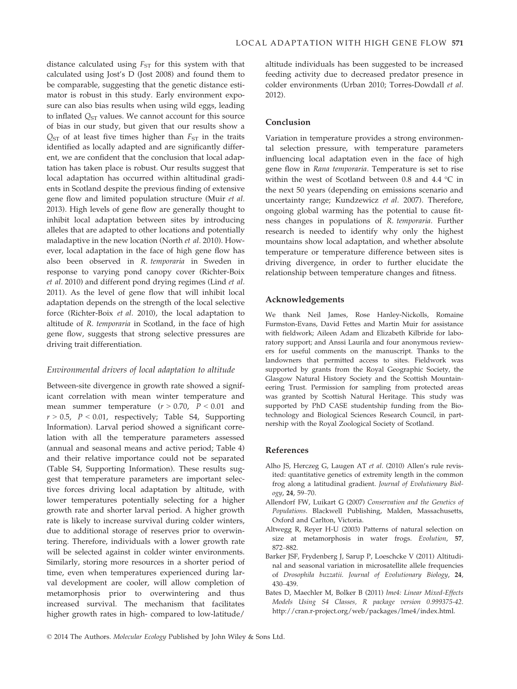distance calculated using  $F_{ST}$  for this system with that calculated using Jost's D (Jost 2008) and found them to be comparable, suggesting that the genetic distance estimator is robust in this study. Early environment exposure can also bias results when using wild eggs, leading to inflated  $Q_{ST}$  values. We cannot account for this source of bias in our study, but given that our results show a  $Q<sub>ST</sub>$  of at least five times higher than  $F<sub>ST</sub>$  in the traits identified as locally adapted and are significantly different, we are confident that the conclusion that local adaptation has taken place is robust. Our results suggest that local adaptation has occurred within altitudinal gradients in Scotland despite the previous finding of extensive gene flow and limited population structure (Muir et al. 2013). High levels of gene flow are generally thought to inhibit local adaptation between sites by introducing alleles that are adapted to other locations and potentially maladaptive in the new location (North et al. 2010). However, local adaptation in the face of high gene flow has also been observed in R. temporaria in Sweden in response to varying pond canopy cover (Richter-Boix et al. 2010) and different pond drying regimes (Lind et al. 2011). As the level of gene flow that will inhibit local adaptation depends on the strength of the local selective force (Richter-Boix et al. 2010), the local adaptation to altitude of R. temporaria in Scotland, in the face of high gene flow, suggests that strong selective pressures are driving trait differentiation.

#### Environmental drivers of local adaptation to altitude

Between-site divergence in growth rate showed a significant correlation with mean winter temperature and mean summer temperature  $(r > 0.70, P < 0.01$  and  $r > 0.5$ ,  $P < 0.01$ , respectively; Table S4, Supporting Information). Larval period showed a significant correlation with all the temperature parameters assessed (annual and seasonal means and active period; Table 4) and their relative importance could not be separated (Table S4, Supporting Information). These results suggest that temperature parameters are important selective forces driving local adaptation by altitude, with lower temperatures potentially selecting for a higher growth rate and shorter larval period. A higher growth rate is likely to increase survival during colder winters, due to additional storage of reserves prior to overwintering. Therefore, individuals with a lower growth rate will be selected against in colder winter environments. Similarly, storing more resources in a shorter period of time, even when temperatures experienced during larval development are cooler, will allow completion of metamorphosis prior to overwintering and thus increased survival. The mechanism that facilitates higher growth rates in high- compared to low-latitude/

altitude individuals has been suggested to be increased feeding activity due to decreased predator presence in colder environments (Urban 2010; Torres-Dowdall et al. 2012).

## Conclusion

Variation in temperature provides a strong environmental selection pressure, with temperature parameters influencing local adaptation even in the face of high gene flow in Rana temporaria. Temperature is set to rise within the west of Scotland between 0.8 and 4.4 °C in the next 50 years (depending on emissions scenario and uncertainty range; Kundzewicz et al. 2007). Therefore, ongoing global warming has the potential to cause fitness changes in populations of R. temporaria. Further research is needed to identify why only the highest mountains show local adaptation, and whether absolute temperature or temperature difference between sites is driving divergence, in order to further elucidate the relationship between temperature changes and fitness.

#### Acknowledgements

We thank Neil James, Rose Hanley-Nickolls, Romaine Furmston-Evans, David Fettes and Martin Muir for assistance with fieldwork; Aileen Adam and Elizabeth Kilbride for laboratory support; and Anssi Laurila and four anonymous reviewers for useful comments on the manuscript. Thanks to the landowners that permitted access to sites. Fieldwork was supported by grants from the Royal Geographic Society, the Glasgow Natural History Society and the Scottish Mountaineering Trust. Permission for sampling from protected areas was granted by Scottish Natural Heritage. This study was supported by PhD CASE studentship funding from the Biotechnology and Biological Sciences Research Council, in partnership with the Royal Zoological Society of Scotland.

### References

- Alho JS, Herczeg G, Laugen AT et al. (2010) Allen's rule revisited: quantitative genetics of extremity length in the common frog along a latitudinal gradient. Journal of Evolutionary Biology, 24, 59–70.
- Allendorf FW, Luikart G (2007) Conservation and the Genetics of Populations. Blackwell Publishing, Malden, Massachusetts, Oxford and Carlton, Victoria.
- Altwegg R, Reyer H-U (2003) Patterns of natural selection on size at metamorphosis in water frogs. Evolution, 57, 872–882.
- Barker JSF, Frydenberg J, Sarup P, Loeschcke V (2011) Altitudinal and seasonal variation in microsatellite allele frequencies of Drosophila buzzatii. Journal of Evolutionary Biology, 24, 430–439.
- Bates D, Maechler M, Bolker B (2011) lme4: Linear Mixed-Effects Models Using S4 Classes, R package version 0.999375-42. http://cran.r-project.org/web/packages/lme4/index.html.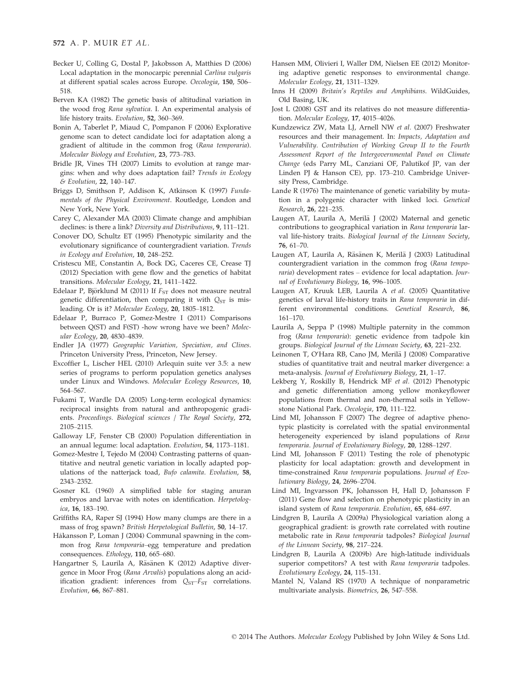- Becker U, Colling G, Dostal P, Jakobsson A, Matthies D (2006) Local adaptation in the monocarpic perennial Carlina vulgaris at different spatial scales across Europe. Oecologia, 150, 506– 518.
- Berven KA (1982) The genetic basis of altitudinal variation in the wood frog Rana sylvatica. I. An experimental analysis of life history traits. Evolution, 52, 360–369.
- Bonin A, Taberlet P, Miaud C, Pompanon F (2006) Explorative genome scan to detect candidate loci for adaptation along a gradient of altitude in the common frog (Rana temporaria). Molecular Biology and Evolution, 23, 773–783.
- Bridle JR, Vines TH (2007) Limits to evolution at range margins: when and why does adaptation fail? Trends in Ecology & Evolution, 22, 140–147.
- Briggs D, Smithson P, Addison K, Atkinson K (1997) Fundamentals of the Physical Environment. Routledge, London and New York, New York.
- Carey C, Alexander MA (2003) Climate change and amphibian declines: is there a link? Diversity and Distributions, 9, 111–121.
- Conover DO, Schultz ET (1995) Phenotypic similarity and the evolutionary significance of countergradient variation. Trends in Ecology and Evolution, 10, 248–252.
- Cristescu ME, Constantin A, Bock DG, Caceres CE, Crease TJ (2012) Speciation with gene flow and the genetics of habitat transitions. Molecular Ecology, 21, 1411–1422.
- Edelaar P, Björklund M (2011) If  $F_{ST}$  does not measure neutral genetic differentiation, then comparing it with  $Q_{ST}$  is misleading. Or is it? Molecular Ecology, 20, 1805–1812.
- Edelaar P, Burraco P, Gomez-Mestre I (2011) Comparisons between Q(ST) and F(ST) -how wrong have we been? Molecular Ecology, 20, 4830–4839.
- Endler JA (1977) Geographic Variation, Speciation, and Clines. Princeton University Press, Princeton, New Jersey.
- Excoffier L, Lischer HEL (2010) Arlequin suite ver 3.5: a new series of programs to perform population genetics analyses under Linux and Windows. Molecular Ecology Resources, 10, 564–567.
- Fukami T, Wardle DA (2005) Long-term ecological dynamics: reciprocal insights from natural and anthropogenic gradients. Proceedings. Biological sciences / The Royal Society, 272, 2105–2115.
- Galloway LF, Fenster CB (2000) Population differentiation in an annual legume: local adaptation. Evolution, 54, 1173–1181.
- Gomez-Mestre I, Tejedo M (2004) Contrasting patterns of quantitative and neutral genetic variation in locally adapted populations of the natterjack toad, Bufo calamita. Evolution, 58, 2343–2352.
- Gosner KL (1960) A simplified table for staging anuran embryos and larvae with notes on identification. Herpetologica, 16, 183–190.
- Griffiths RA, Raper SJ (1994) How many clumps are there in a mass of frog spawn? British Herpetological Bulletin, 50, 14–17.
- Hakansson P, Loman J (2004) Communal spawning in the common frog Rana temporaria–egg temperature and predation consequences. Ethology, 110, 665–680.
- Hangartner S, Laurila A, Räsänen K (2012) Adaptive divergence in Moor Frog (Rana Arvalis) populations along an acidification gradient: inferences from  $Q_{ST} - F_{ST}$  correlations. Evolution, 66, 867–881.
- Hansen MM, Olivieri I, Waller DM, Nielsen EE (2012) Monitoring adaptive genetic responses to environmental change. Molecular Ecology, 21, 1311–1329.
- Inns H (2009) Britain's Reptiles and Amphibians. WildGuides, Old Basing, UK.
- Jost L (2008) GST and its relatives do not measure differentiation. Molecular Ecology, 17, 4015–4026.
- Kundzewicz ZW, Mata LJ, Arnell NW et al. (2007) Freshwater resources and their management. In: Impacts, Adaptation and Vulnerability. Contribution of Working Group II to the Fourth Assessment Report of the Intergovernmental Panel on Climate Change (eds Parry ML, Canziani OF, Palutikof JP, van der Linden PJ & Hanson CE), pp. 173–210. Cambridge University Press, Cambridge.
- Lande R (1976) The maintenance of genetic variability by mutation in a polygenic character with linked loci. Genetical Research, 26, 221–235.
- Laugen AT, Laurila A, Merilä J (2002) Maternal and genetic contributions to geographical variation in Rana temporaria larval life-history traits. Biological Journal of the Linnean Society, 76, 61–70.
- Laugen AT, Laurila A, Räsänen K, Merilä J (2003) Latitudinal countergradient variation in the common frog (Rana temporaria) development rates - evidence for local adaptation. Journal of Evolutionary Biology, 16, 996–1005.
- Laugen AT, Kruuk LEB, Laurila A et al. (2005) Quantitative genetics of larval life-history traits in Rana temporaria in different environmental conditions. Genetical Research, 86, 161–170.
- Laurila A, Seppa P (1998) Multiple paternity in the common frog (Rana temporaria): genetic evidence from tadpole kin groups. Biological Journal of the Linnean Society, 63, 221–232.
- Leinonen T, O'Hara RB, Cano JM, Merilä J (2008) Comparative studies of quantitative trait and neutral marker divergence: a meta-analysis. Journal of Evolutionary Biology, 21, 1-17.
- Lekberg Y, Roskilly B, Hendrick MF et al. (2012) Phenotypic and genetic differentiation among yellow monkeyflower populations from thermal and non-thermal soils in Yellowstone National Park. Oecologia, 170, 111-122.
- Lind MI, Johansson F (2007) The degree of adaptive phenotypic plasticity is correlated with the spatial environmental heterogeneity experienced by island populations of Rana temporaria. Journal of Evolutionary Biology, 20, 1288-1297.
- Lind MI, Johansson F (2011) Testing the role of phenotypic plasticity for local adaptation: growth and development in time-constrained Rana temporaria populations. Journal of Evolutionary Biology, 24, 2696–2704.
- Lind MI, Ingvarsson PK, Johansson H, Hall D, Johansson F (2011) Gene flow and selection on phenotypic plasticity in an island system of Rana temporaria. Evolution, 65, 684-697.
- Lindgren B, Laurila A (2009a) Physiological variation along a geographical gradient: is growth rate correlated with routine metabolic rate in Rana temporaria tadpoles? Biological Journal of the Linnean Society, 98, 217–224.
- Lindgren B, Laurila A (2009b) Are high-latitude individuals superior competitors? A test with Rana temporaria tadpoles. Evolutionary Ecology, 24, 115–131.
- Mantel N, Valand RS (1970) A technique of nonparametric multivariate analysis. Biometrics, 26, 547–558.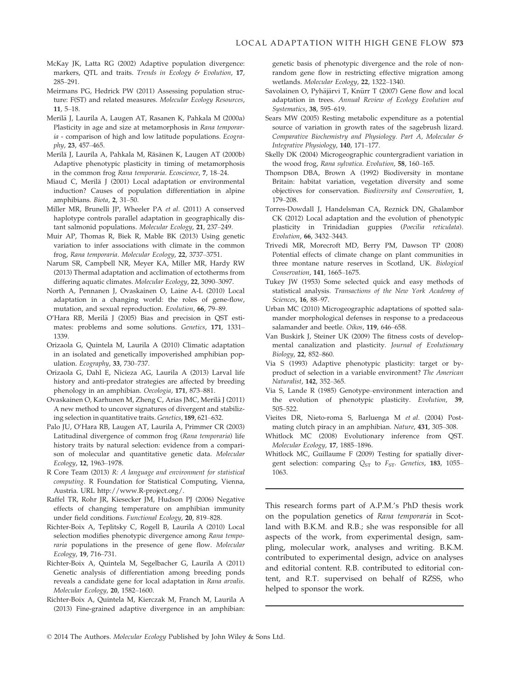- McKay JK, Latta RG (2002) Adaptive population divergence: markers, QTL and traits. Trends in Ecology & Evolution, 17, 285–291.
- Meirmans PG, Hedrick PW (2011) Assessing population structure: F(ST) and related measures. Molecular Ecology Resources, 11, 5–18.
- Merilä J, Laurila A, Laugen AT, Rasanen K, Pahkala M (2000a) Plasticity in age and size at metamorphosis in Rana temporaria - comparison of high and low latitude populations. Ecography, 23, 457–465.
- Merilä J, Laurila A, Pahkala M, Räsänen K, Laugen AT (2000b) Adaptive phenotypic plasticity in timing of metamorphosis in the common frog Rana temporaria. Ecoscience, 7, 18–24.
- Miaud C, Merilä J (2001) Local adaptation or environmental induction? Causes of population differentiation in alpine amphibians. Biota, 2, 31–50.
- Miller MR, Brunelli JP, Wheeler PA et al. (2011) A conserved haplotype controls parallel adaptation in geographically distant salmonid populations. Molecular Ecology, 21, 237–249.
- Muir AP, Thomas R, Biek R, Mable BK (2013) Using genetic variation to infer associations with climate in the common frog, Rana temporaria. Molecular Ecology, 22, 3737–3751.
- Narum SR, Campbell NR, Meyer KA, Miller MR, Hardy RW (2013) Thermal adaptation and acclimation of ectotherms from differing aquatic climates. Molecular Ecology, 22, 3090–3097.
- North A, Pennanen J, Ovaskainen O, Laine A-L (2010) Local adaptation in a changing world: the roles of gene-flow, mutation, and sexual reproduction. Evolution, 66, 79–89.
- O'Hara RB, Merilä J (2005) Bias and precision in QST estimates: problems and some solutions. Genetics, 171, 1331– 1339.
- Orizaola G, Quintela M, Laurila A (2010) Climatic adaptation in an isolated and genetically impoverished amphibian population. Ecography, 33, 730–737.
- Orizaola G, Dahl E, Nicieza AG, Laurila A (2013) Larval life history and anti-predator strategies are affected by breeding phenology in an amphibian. Oecologia, 171, 873–881.
- Ovaskainen O, Karhunen M, Zheng C, Arias JMC, Merilä J (2011) A new method to uncover signatures of divergent and stabilizing selection in quantitative traits. Genetics, 189, 621–632.
- Palo JU, O'Hara RB, Laugen AT, Laurila A, Primmer CR (2003) Latitudinal divergence of common frog (Rana temporaria) life history traits by natural selection: evidence from a comparison of molecular and quantitative genetic data. Molecular Ecology, 12, 1963–1978.
- R Core Team (2013) R: A language and environment for statistical computing. R Foundation for Statistical Computing, Vienna, Austria. URL http://www.R-project.org/.
- Raffel TR, Rohr JR, Kiesecker JM, Hudson PJ (2006) Negative effects of changing temperature on amphibian immunity under field conditions. Functional Ecology, 20, 819–828.
- Richter-Boix A, Teplitsky C, Rogell B, Laurila A (2010) Local selection modifies phenotypic divergence among Rana temporaria populations in the presence of gene flow. Molecular Ecology, 19, 716–731.
- Richter-Boix A, Quintela M, Segelbacher G, Laurila A (2011) Genetic analysis of differentiation among breeding ponds reveals a candidate gene for local adaptation in Rana arvalis. Molecular Ecology, 20, 1582–1600.
- Richter-Boix A, Quintela M, Kierczak M, Franch M, Laurila A (2013) Fine-grained adaptive divergence in an amphibian:

genetic basis of phenotypic divergence and the role of nonrandom gene flow in restricting effective migration among wetlands. Molecular Ecology, 22, 1322–1340.

- Savolainen O, Pyhäjärvi T, Knürr T (2007) Gene flow and local adaptation in trees. Annual Review of Ecology Evolution and Systematics, 38, 595–619.
- Sears MW (2005) Resting metabolic expenditure as a potential source of variation in growth rates of the sagebrush lizard. Comparative Biochemistry and Physiology. Part A, Molecular & Integrative Physiology, 140, 171–177.
- Skelly DK (2004) Microgeographic countergradient variation in the wood frog, Rana sylvatica. Evolution, 58, 160–165.
- Thompson DBA, Brown A (1992) Biodiversity in montane Britain: habitat variation, vegetation diversity and some objectives for conservation. Biodiversity and Conservation, 1, 179–208.
- Torres-Dowdall J, Handelsman CA, Reznick DN, Ghalambor CK (2012) Local adaptation and the evolution of phenotypic plasticity in Trinidadian guppies (Poecilia reticulata). Evolution, 66, 3432–3443.
- Trivedi MR, Morecroft MD, Berry PM, Dawson TP (2008) Potential effects of climate change on plant communities in three montane nature reserves in Scotland, UK. Biological Conservation, 141, 1665–1675.
- Tukey JW (1953) Some selected quick and easy methods of statistical analysis. Transactions of the New York Academy of Sciences, 16, 88–97.
- Urban MC (2010) Microgeographic adaptations of spotted salamander morphological defenses in response to a predaceous salamander and beetle. Oikos, 119, 646–658.
- Van Buskirk J, Steiner UK (2009) The fitness costs of developmental canalization and plasticity. Journal of Evolutionary Biology, 22, 852–860.
- Via S (1993) Adaptive phenotypic plasticity: target or byproduct of selection in a variable environment? The American Naturalist, 142, 352–365.
- Via S, Lande R (1985) Genotype–environment interaction and the evolution of phenotypic plasticity. Evolution, 39, 505–522.
- Vieites DR, Nieto-roma S, Barluenga M et al. (2004) Postmating clutch piracy in an amphibian. Nature, 431, 305–308.
- Whitlock MC (2008) Evolutionary inference from QST. Molecular Ecology, 17, 1885–1896.
- Whitlock MC, Guillaume F (2009) Testing for spatially divergent selection: comparing  $Q_{ST}$  to  $F_{ST}$ . Genetics, 183, 1055– 1063.

This research forms part of A.P.M.'s PhD thesis work on the population genetics of Rana temporaria in Scotland with B.K.M. and R.B.; she was responsible for all aspects of the work, from experimental design, sampling, molecular work, analyses and writing. B.K.M. contributed to experimental design, advice on analyses and editorial content. R.B. contributed to editorial content, and R.T. supervised on behalf of RZSS, who helped to sponsor the work.

© 2014 The Authors. Molecular Ecology Published by John Wiley & Sons Ltd.